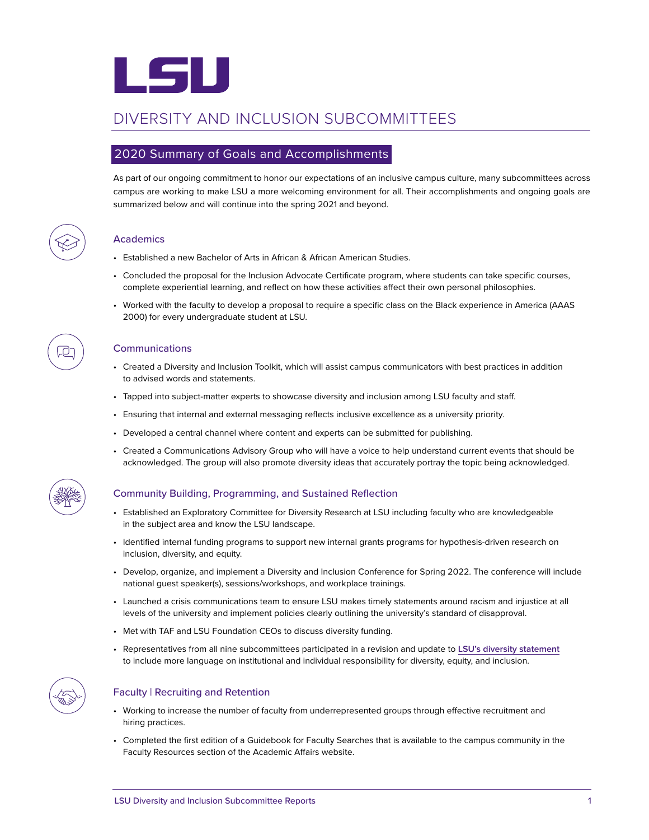

# DIVERSITY AND INCLUSION SUBCOMMITTEES

## 2020 Summary of Goals and Accomplishments

As part of our ongoing commitment to honor our expectations of an inclusive campus culture, many subcommittees across campus are working to make LSU a more welcoming environment for all. Their accomplishments and ongoing goals are summarized below and will continue into the spring 2021 and beyond.



### **Academics**

- Established a new Bachelor of Arts in African & African American Studies.
- Concluded the proposal for the Inclusion Advocate Certificate program, where students can take specific courses, complete experiential learning, and reflect on how these activities affect their own personal philosophies.
- Worked with the faculty to develop a proposal to require a specific class on the Black experience in America (AAAS 2000) for every undergraduate student at LSU.

#### Communications

- Created a Diversity and Inclusion Toolkit, which will assist campus communicators with best practices in addition to advised words and statements.
- Tapped into subject-matter experts to showcase diversity and inclusion among LSU faculty and staff.
- Ensuring that internal and external messaging reflects inclusive excellence as a university priority.
- Developed a central channel where content and experts can be submitted for publishing.
- Created a Communications Advisory Group who will have a voice to help understand current events that should be acknowledged. The group will also promote diversity ideas that accurately portray the topic being acknowledged.



#### Community Building, Programming, and Sustained Reflection

- Established an Exploratory Committee for Diversity Research at LSU including faculty who are knowledgeable in the subject area and know the LSU landscape.
- Identified internal funding programs to support new internal grants programs for hypothesis-driven research on inclusion, diversity, and equity.
- Develop, organize, and implement a Diversity and Inclusion Conference for Spring 2022. The conference will include national guest speaker(s), sessions/workshops, and workplace trainings.
- Launched a crisis communications team to ensure LSU makes timely statements around racism and injustice at all levels of the university and implement policies clearly outlining the university's standard of disapproval.
- Met with TAF and LSU Foundation CEOs to discuss diversity funding.
- Representatives from all nine subcommittees participated in a revision and update to **[LSU's diversity statement](https://lsu.edu/diversity-statement/)** to include more language on institutional and individual responsibility for diversity, equity, and inclusion.



### Faculty | Recruiting and Retention

- Working to increase the number of faculty from underrepresented groups through effective recruitment and hiring practices.
- Completed the first edition of a Guidebook for Faculty Searches that is available to the campus community in the Faculty Resources section of the Academic Affairs website.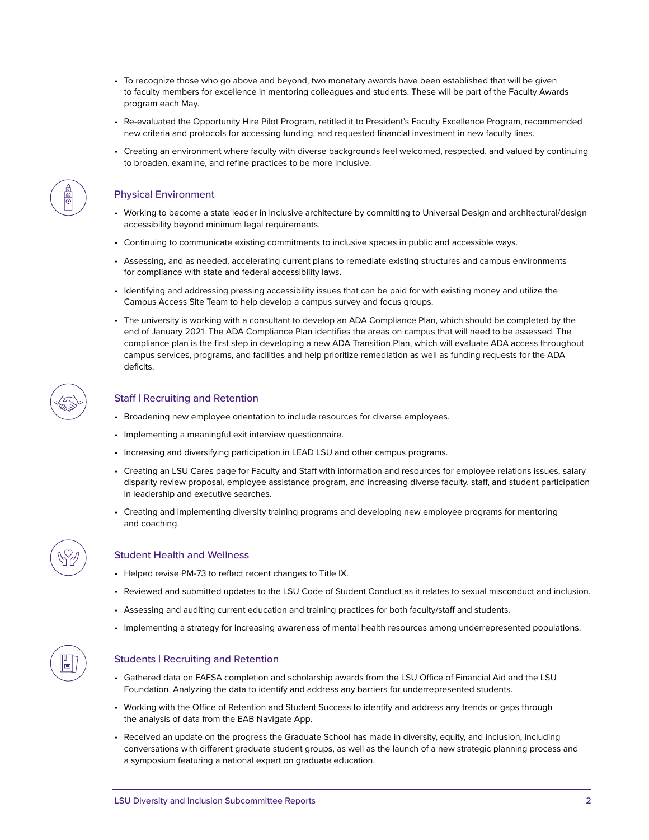- To recognize those who go above and beyond, two monetary awards have been established that will be given to faculty members for excellence in mentoring colleagues and students. These will be part of the Faculty Awards program each May.
- Re-evaluated the Opportunity Hire Pilot Program, retitled it to President's Faculty Excellence Program, recommended new criteria and protocols for accessing funding, and requested financial investment in new faculty lines.
- Creating an environment where faculty with diverse backgrounds feel welcomed, respected, and valued by continuing to broaden, examine, and refine practices to be more inclusive.

#### Physical Environment

- Working to become a state leader in inclusive architecture by committing to Universal Design and architectural/design accessibility beyond minimum legal requirements.
- Continuing to communicate existing commitments to inclusive spaces in public and accessible ways.
- Assessing, and as needed, accelerating current plans to remediate existing structures and campus environments for compliance with state and federal accessibility laws.
- Identifying and addressing pressing accessibility issues that can be paid for with existing money and utilize the Campus Access Site Team to help develop a campus survey and focus groups.
- The university is working with a consultant to develop an ADA Compliance Plan, which should be completed by the end of January 2021. The ADA Compliance Plan identifies the areas on campus that will need to be assessed. The compliance plan is the first step in developing a new ADA Transition Plan, which will evaluate ADA access throughout campus services, programs, and facilities and help prioritize remediation as well as funding requests for the ADA deficits.

### Staff | Recruiting and Retention

- Broadening new employee orientation to include resources for diverse employees.
- Implementing a meaningful exit interview questionnaire.
- Increasing and diversifying participation in LEAD LSU and other campus programs.
- Creating an LSU Cares page for Faculty and Staff with information and resources for employee relations issues, salary disparity review proposal, employee assistance program, and increasing diverse faculty, staff, and student participation in leadership and executive searches.
- Creating and implementing diversity training programs and developing new employee programs for mentoring and coaching.

#### Student Health and Wellness

- Helped revise PM-73 to reflect recent changes to Title IX.
- Reviewed and submitted updates to the LSU Code of Student Conduct as it relates to sexual misconduct and inclusion.
- Assessing and auditing current education and training practices for both faculty/staff and students.
- Implementing a strategy for increasing awareness of mental health resources among underrepresented populations.

### Students | Recruiting and Retention

- Gathered data on FAFSA completion and scholarship awards from the LSU Office of Financial Aid and the LSU Foundation. Analyzing the data to identify and address any barriers for underrepresented students.
- Working with the Office of Retention and Student Success to identify and address any trends or gaps through the analysis of data from the EAB Navigate App.
- Received an update on the progress the Graduate School has made in diversity, equity, and inclusion, including conversations with different graduate student groups, as well as the launch of a new strategic planning process and a symposium featuring a national expert on graduate education.